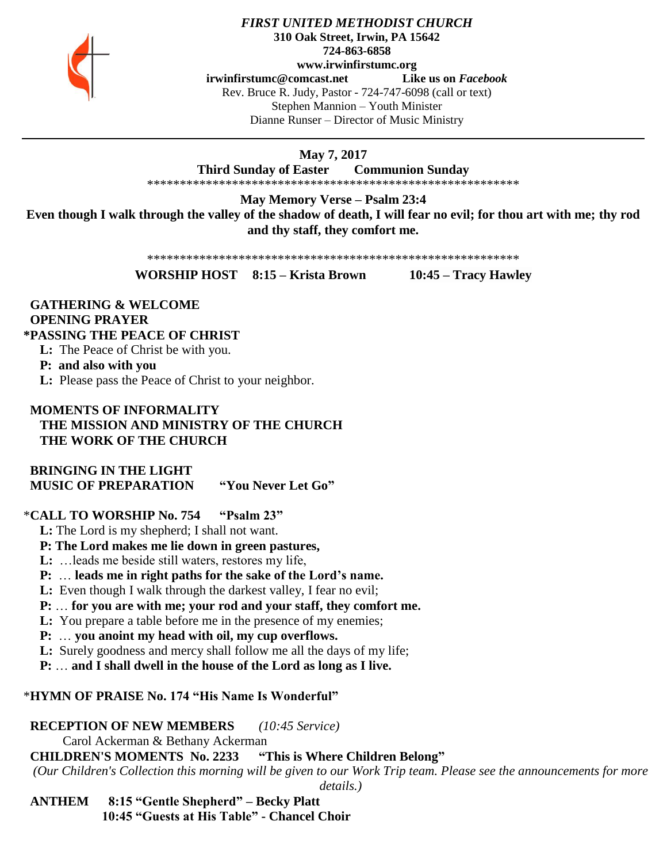

#### *FIRST UNITED METHODIST CHURCH* **310 Oak Street, Irwin, PA 15642 724-863-6858 www.irwinfirstumc.org [irwinfirstumc@comcast.net](mailto:irwinfirstumc@comcast.net) Like us on** *Facebook* Rev. Bruce R. Judy, Pastor - 724-747-6098 (call or text) Stephen Mannion – Youth Minister Dianne Runser – Director of Music Ministry

### **May 7, 2017**

**Third Sunday of Easter Communion Sunday**

\*\*\*\*\*\*\*\*\*\*\*\*\*\*\*\*\*\*\*\*\*\*\*\*\*\*\*\*\*\*\*\*\*\*\*\*\*\*\*\*\*\*\*\*\*\*\*\*\*\*\*\*\*\*\*\*\*

**May Memory Verse – Psalm 23:4**

**Even though I walk through the valley of the shadow of death, I will fear no evil; for thou art with me; thy rod and thy staff, they comfort me.**

\*\*\*\*\*\*\*\*\*\*\*\*\*\*\*\*\*\*\*\*\*\*\*\*\*\*\*\*\*\*\*\*\*\*\*\*\*\*\*\*\*\*\*\*\*\*\*\*\*\*\*\*\*\*\*\*\*

**WORSHIP HOST 8:15 – Krista Brown 10:45 – Tracy Hawley**

#### **GATHERING & WELCOME OPENING PRAYER \*PASSING THE PEACE OF CHRIST**

# **L:** The Peace of Christ be with you.

**P: and also with you**

**L:** Please pass the Peace of Christ to your neighbor.

# **MOMENTS OF INFORMALITY THE MISSION AND MINISTRY OF THE CHURCH THE WORK OF THE CHURCH**

 **BRINGING IN THE LIGHT MUSIC OF PREPARATION "You Never Let Go"**

# \***CALL TO WORSHIP No. 754 "Psalm 23"**

 **L:** The Lord is my shepherd; I shall not want.

# **P: The Lord makes me lie down in green pastures,**

 **L:** …leads me beside still waters, restores my life,

 **P:** … **leads me in right paths for the sake of the Lord's name.**

**L:** Even though I walk through the darkest valley, I fear no evil;

 **P:** … **for you are with me; your rod and your staff, they comfort me.**

 **L:** You prepare a table before me in the presence of my enemies;

 **P:** … **you anoint my head with oil, my cup overflows.**

 **L:** Surely goodness and mercy shall follow me all the days of my life;

 **P:** … **and I shall dwell in the house of the Lord as long as I live.**

# \***HYMN OF PRAISE No. 174 "His Name Is Wonderful"**

# **RECEPTION OF NEW MEMBERS** *(10:45 Service)*

Carol Ackerman & Bethany Ackerman

 **CHILDREN'S MOMENTS No. 2233 "This is Where Children Belong"**

*(Our Children's Collection this morning will be given to our Work Trip team. Please see the announcements for more* 

*details.)*

 **ANTHEM 8:15 "Gentle Shepherd" – Becky Platt 10:45 "Guests at His Table" - Chancel Choir**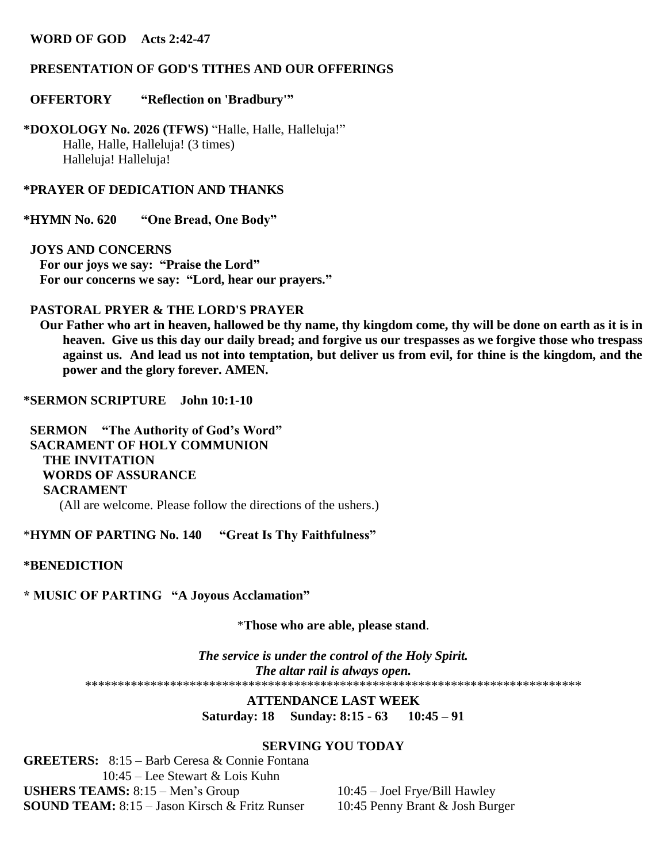#### **WORD OF GOD Acts 2:42-47**

#### **PRESENTATION OF GOD'S TITHES AND OUR OFFERINGS**

#### **OFFERTORY "Reflection on 'Bradbury'"**

**\*DOXOLOGY No. 2026 (TFWS)** "Halle, Halle, Halleluja!" Halle, Halle, Halleluja! (3 times) Halleluja! Halleluja!

#### **\*PRAYER OF DEDICATION AND THANKS**

**\*HYMN No. 620 "One Bread, One Body"**

 **JOYS AND CONCERNS For our joys we say: "Praise the Lord" For our concerns we say: "Lord, hear our prayers."**

### **PASTORAL PRYER & THE LORD'S PRAYER**

 **Our Father who art in heaven, hallowed be thy name, thy kingdom come, thy will be done on earth as it is in heaven. Give us this day our daily bread; and forgive us our trespasses as we forgive those who trespass against us. And lead us not into temptation, but deliver us from evil, for thine is the kingdom, and the power and the glory forever. AMEN.**

**\*SERMON SCRIPTURE John 10:1-10**

 **SERMON "The Authority of God's Word" SACRAMENT OF HOLY COMMUNION THE INVITATION WORDS OF ASSURANCE SACRAMENT** (All are welcome. Please follow the directions of the ushers.)

\***HYMN OF PARTING No. 140 "Great Is Thy Faithfulness"**

**\*BENEDICTION**

**\* MUSIC OF PARTING "A Joyous Acclamation"**

\***Those who are able, please stand**.

*The service is under the control of the Holy Spirit. The altar rail is always open.* \*\*\*\*\*\*\*\*\*\*\*\*\*\*\*\*\*\*\*\*\*\*\*\*\*\*\*\*\*\*\*\*\*\*\*\*\*\*\*\*\*\*\*\*\*\*\*\*\*\*\*\*\*\*\*\*\*\*\*\*\*\*\*\*\*\*\*\*\*\*\*\*\*\*\*\*

> **ATTENDANCE LAST WEEK Saturday: 18 Sunday: 8:15 - 63 10:45 – 91**

#### **SERVING YOU TODAY**

**GREETERS:** 8:15 – Barb Ceresa & Connie Fontana 10:45 – Lee Stewart & Lois Kuhn **USHERS TEAMS:** 8:15 – Men's Group 10:45 – Joel Frye/Bill Hawley **SOUND TEAM:** 8:15 – Jason Kirsch & Fritz Runser 10:45 Penny Brant & Josh Burger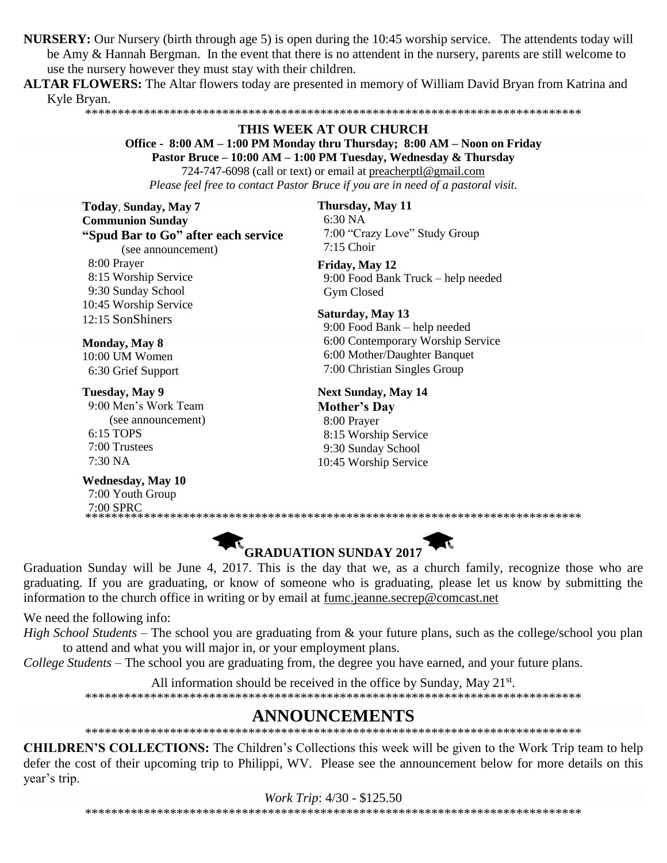**NURSERY:** Our Nursery (birth through age 5) is open during the 10:45 worship service. The attendents today will be Amy & Hannah Bergman. In the event that there is no attendent in the nursery, parents are still welcome to use the nursery however they must stay with their children.

**ALTAR FLOWERS:** The Altar flowers today are presented in memory of William David Bryan from Katrina and Kyle Bryan.

#### \*\*\*\*\*\*\*\*\*\*\*\*\*\*\*\*\*\*\*\*\*\*\*\*\*\*\*\*\*\*\*\*\*\*\*\*\*\*\*\*\*\*\*\*\*\*\*\*\*\*\*\*\*\*\*\*\*\*\*\*\*\*\*\*\*\*\*\*\*\*\*\*\*\*\*\*

#### **THIS WEEK AT OUR CHURCH**

**Office - 8:00 AM – 1:00 PM Monday thru Thursday; 8:00 AM – Noon on Friday**

**Pastor Bruce – 10:00 AM – 1:00 PM Tuesday, Wednesday & Thursday** 724-747-6098 (call or text) or email at [preacherptl@gmail.com](mailto:preacherptl@gmail.com)

*Please feel free to contact Pastor Bruce if you are in need of a pastoral visit.*

**Today**, **Sunday, May 7 Communion Sunday "Spud Bar to Go" after each service**

(see announcement)

 8:00 Prayer 8:15 Worship Service 9:30 Sunday School 10:45 Worship Service 12:15 SonShiners

**Monday, May 8** 10:00 UM Women 6:30 Grief Support

**Tuesday, May 9** 9:00 Men's Work Team (see announcement) 6:15 TOPS 7:00 Trustees 7:30 NA

**Wednesday, May 10** 7:00 Youth Group 7:00 SPRC

**Thursday, May 11** 6:30 NA 7:00 "Crazy Love" Study Group 7:15 Choir

**Friday, May 12** 9:00 Food Bank Truck – help needed Gym Closed

**Saturday, May 13** 9:00 Food Bank – help needed 6:00 Contemporary Worship Service 6:00 Mother/Daughter Banquet

7:00 Christian Singles Group

**Next Sunday, May 14 Mother's Day** 8:00 Prayer 8:15 Worship Service 9:30 Sunday School 10:45 Worship Service

\*\*\*\*\*\*\*\*\*\*\*\*\*\*\*\*\*\*\*\*\*\*\*\*\*\*\*\*\*\*\*\*\*\*\*\*\*\*\*\*\*\*\*\*\*\*\*\*\*\*\*\*\*\*\*\*\*\*\*\*\*\*\*\*\*\*\*\*\*\*\*\*\*\*\*\*

**GRADUATION SUNDAY 2017** Graduation Sunday will be June 4, 2017. This is the day that we, as a church family, recognize those who are graduating. If you are graduating, or know of someone who is graduating, please let us know by submitting the information to the church office in writing or by email at [fumc.jeanne.secrep@comcast.net](mailto:fumc.jeanne.secrep@comcast.net)

We need the following info:

*High School Students* – The school you are graduating from & your future plans, such as the college/school you plan to attend and what you will major in, or your employment plans.

*College Students* – The school you are graduating from, the degree you have earned, and your future plans.

All information should be received in the office by Sunday, May  $21^{st}$ .

\*\*\*\*\*\*\*\*\*\*\*\*\*\*\*\*\*\*\*\*\*\*\*\*\*\*\*\*\*\*\*\*\*\*\*\*\*\*\*\*\*\*\*\*\*\*\*\*\*\*\*\*\*\*\*\*\*\*\*\*\*\*\*\*\*\*\*\*\*\*\*\*\*\*\*\*

# **ANNOUNCEMENTS**

\*\*\*\*\*\*\*\*\*\*\*\*\*\*\*\*\*\*\*\*\*\*\*\*\*\*\*\*\*\*\*\*\*\*\*\*\*\*\*\*\*\*\*\*\*\*\*\*\*\*\*\*\*\*\*\*\*\*\*\*\*\*\*\*\*\*\*\*\*\*\*\*\*\*\*\*

**CHILDREN'S COLLECTIONS:** The Children's Collections this week will be given to the Work Trip team to help defer the cost of their upcoming trip to Philippi, WV. Please see the announcement below for more details on this year's trip.

\*\*\*\*\*\*\*\*\*\*\*\*\*\*\*\*\*\*\*\*\*\*\*\*\*\*\*\*\*\*\*\*\*\*\*\*\*\*\*\*\*\*\*\*\*\*\*\*\*\*\*\*\*\*\*\*\*\*\*\*\*\*\*\*\*\*\*\*\*\*\*\*\*\*\*\*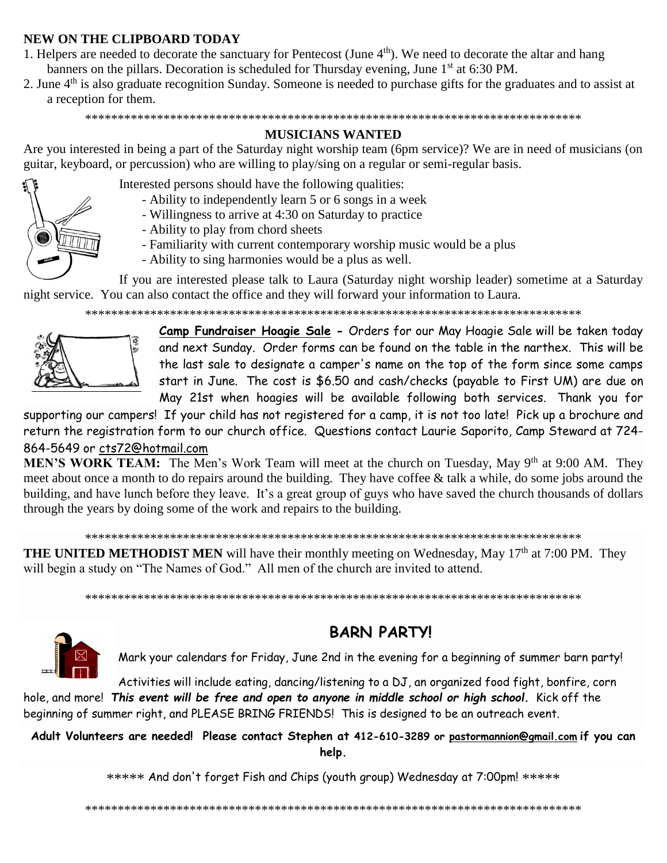# **NEW ON THE CLIPBOARD TODAY**

- 1. Helpers are needed to decorate the sanctuary for Pentecost (June 4<sup>th</sup>). We need to decorate the altar and hang banners on the pillars. Decoration is scheduled for Thursday evening, June 1<sup>st</sup> at 6:30 PM.
- 2. June  $4<sup>th</sup>$  is also graduate recognition Sunday. Someone is needed to purchase gifts for the graduates and to assist at a reception for them.

\*\*\*\*\*\*\*\*\*\*\*\*\*\*\*\*\*\*\*\*\*\*\*\*\*\*\*\*\*\*\*\*\*\*\*\*\*\*\*\*\*\*\*\*\*\*\*\*\*\*\*\*\*\*\*\*\*\*\*\*\*\*\*\*\*\*\*\*\*\*\*\*\*\*\*\*

# **MUSICIANS WANTED**

Are you interested in being a part of the Saturday night worship team (6pm service)? We are in need of musicians (on guitar, keyboard, or percussion) who are willing to play/sing on a regular or semi-regular basis.



- Interested persons should have the following qualities:
	- Ability to independently learn 5 or 6 songs in a week
	- Willingness to arrive at 4:30 on Saturday to practice
	- Ability to play from chord sheets
	- Familiarity with current contemporary worship music would be a plus
	- Ability to sing harmonies would be a plus as well.

If you are interested please talk to Laura (Saturday night worship leader) sometime at a Saturday night service. You can also contact the office and they will forward your information to Laura.

\*\*\*\*\*\*\*\*\*\*\*\*\*\*\*\*\*\*\*\*\*\*\*\*\*\*\*\*\*\*\*\*\*\*\*\*\*\*\*\*\*\*\*\*\*\*\*\*\*\*\*\*\*\*\*\*\*\*\*\*\*\*\*\*\*\*\*\*\*\*\*\*\*\*\*\*



**Camp Fundraiser Hoagie Sale -** Orders for our May Hoagie Sale will be taken today and next Sunday. Order forms can be found on the table in the narthex. This will be the last sale to designate a camper's name on the top of the form since some camps start in June. The cost is \$6.50 and cash/checks (payable to First UM) are due on May 21st when hoagies will be available following both services. Thank you for

supporting our campers! If your child has not registered for a camp, it is not too late! Pick up a brochure and return the registration form to our church office. Questions contact Laurie Saporito, Camp Steward at 724- 864-5649 or [cts72@hotmail.com](javascript:window.top.ZmObjectManager.__doClickObject(document.getElementById(%22OBJ_PREFIX_DWT6846_com_zimbra_email%22));)

**MEN'S WORK TEAM:** The Men's Work Team will meet at the church on Tuesday, May 9<sup>th</sup> at 9:00 AM. They meet about once a month to do repairs around the building. They have coffee & talk a while, do some jobs around the building, and have lunch before they leave. It's a great group of guys who have saved the church thousands of dollars through the years by doing some of the work and repairs to the building.

#### \*\*\*\*\*\*\*\*\*\*\*\*\*\*\*\*\*\*\*\*\*\*\*\*\*\*\*\*\*\*\*\*\*\*\*\*\*\*\*\*\*\*\*\*\*\*\*\*\*\*\*\*\*\*\*\*\*\*\*\*\*\*\*\*\*\*\*\*\*\*\*\*\*\*\*\*

**THE UNITED METHODIST MEN** will have their monthly meeting on Wednesday, May 17<sup>th</sup> at 7:00 PM. They will begin a study on "The Names of God." All men of the church are invited to attend.

\*\*\*\*\*\*\*\*\*\*\*\*\*\*\*\*\*\*\*\*\*\*\*\*\*\*\*\*\*\*\*\*\*\*\*\*\*\*\*\*\*\*\*\*\*\*\*\*\*\*\*\*\*\*\*\*\*\*\*\*\*\*\*\*\*\*\*\*\*\*\*\*\*\*\*\*



# **BARN PARTY!**

Mark your calendars for Friday, June 2nd in the evening for a beginning of summer barn party!

Activities will include eating, dancing/listening to a DJ, an organized food fight, bonfire, corn hole, and more! *This event will be free and open to anyone in middle school or high school.* Kick off the beginning of summer right, and PLEASE BRING FRIENDS! This is designed to be an outreach event.

**Adult Volunteers are needed! Please contact Stephen at 412-610-3289 or [pastormannion@gmail.com](mailto:pastormannion@gmail.com) if you can help.**

\*\*\*\*\* And don't forget Fish and Chips (youth group) Wednesday at 7:00pm! \*\*\*\*\*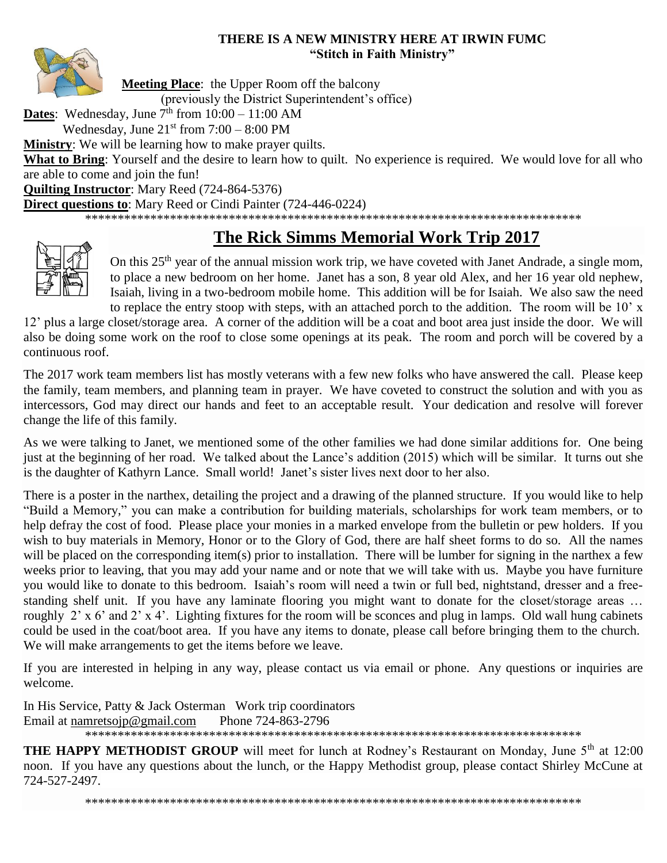## **THERE IS A NEW MINISTRY HERE AT IRWIN FUMC "Stitch in Faith Ministry"**



**Meeting Place:** the Upper Room off the balcony

(previously the District Superintendent's office)

**Dates**: Wednesday, June  $7<sup>th</sup>$  from  $10:00 - 11:00$  AM

Wednesday, June  $21<sup>st</sup>$  from  $7:00 - 8:00$  PM

**Ministry**: We will be learning how to make prayer quilts.

**What to Bring**: Yourself and the desire to learn how to quilt. No experience is required. We would love for all who are able to come and join the fun!

**Quilting Instructor**: Mary Reed (724-864-5376)

**Direct questions to**: Mary Reed or Cindi Painter (724-446-0224)

\*\*\*\*\*\*\*\*\*\*\*\*\*\*\*\*\*\*\*\*\*\*\*\*\*\*\*\*\*\*\*\*\*\*\*\*\*\*\*\*\*\*\*\*\*\*\*\*\*\*\*\*\*\*\*\*\*\*\*\*\*\*\*\*\*\*\*\*\*\*\*\*\*\*\*\*

# **The Rick Simms Memorial Work Trip 2017**



On this 25<sup>th</sup> year of the annual mission work trip, we have coveted with Janet Andrade, a single mom, to place a new bedroom on her home. Janet has a son, 8 year old Alex, and her 16 year old nephew, Isaiah, living in a two-bedroom mobile home. This addition will be for Isaiah. We also saw the need to replace the entry stoop with steps, with an attached porch to the addition. The room will be 10' x

12' plus a large closet/storage area. A corner of the addition will be a coat and boot area just inside the door. We will also be doing some work on the roof to close some openings at its peak. The room and porch will be covered by a continuous roof.

The 2017 work team members list has mostly veterans with a few new folks who have answered the call. Please keep the family, team members, and planning team in prayer. We have coveted to construct the solution and with you as intercessors, God may direct our hands and feet to an acceptable result. Your dedication and resolve will forever change the life of this family.

As we were talking to Janet, we mentioned some of the other families we had done similar additions for. One being just at the beginning of her road. We talked about the Lance's addition (2015) which will be similar. It turns out she is the daughter of Kathyrn Lance. Small world! Janet's sister lives next door to her also.

There is a poster in the narthex, detailing the project and a drawing of the planned structure. If you would like to help "Build a Memory," you can make a contribution for building materials, scholarships for work team members, or to help defray the cost of food. Please place your monies in a marked envelope from the bulletin or pew holders. If you wish to buy materials in Memory, Honor or to the Glory of God, there are half sheet forms to do so. All the names will be placed on the corresponding item(s) prior to installation. There will be lumber for signing in the narthex a few weeks prior to leaving, that you may add your name and or note that we will take with us. Maybe you have furniture you would like to donate to this bedroom. Isaiah's room will need a twin or full bed, nightstand, dresser and a freestanding shelf unit. If you have any laminate flooring you might want to donate for the closet/storage areas … roughly 2' x 6' and 2' x 4'. Lighting fixtures for the room will be sconces and plug in lamps. Old wall hung cabinets could be used in the coat/boot area. If you have any items to donate, please call before bringing them to the church. We will make arrangements to get the items before we leave.

If you are interested in helping in any way, please contact us via email or phone. Any questions or inquiries are welcome.

In His Service, Patty & Jack Osterman Work trip coordinators Email at [namretsojp@gmail.com](javascript:window.top.ZmObjectManager.__doClickObject(document.getElementById(%22OBJ_PREFIX_DWT4264_com_zimbra_email%22));) Phone 724-863-2796 \*\*\*\*\*\*\*\*\*\*\*\*\*\*\*\*\*\*\*\*\*\*\*\*\*\*\*\*\*\*\*\*\*\*\*\*\*\*\*\*\*\*\*\*\*\*\*\*\*\*\*\*\*\*\*\*\*\*\*\*\*\*\*\*\*\*\*\*\*\*\*\*\*\*\*\*

**THE HAPPY METHODIST GROUP** will meet for lunch at Rodney's Restaurant on Monday, June 5<sup>th</sup> at 12:00 noon. If you have any questions about the lunch, or the Happy Methodist group, please contact Shirley McCune at 724-527-2497.